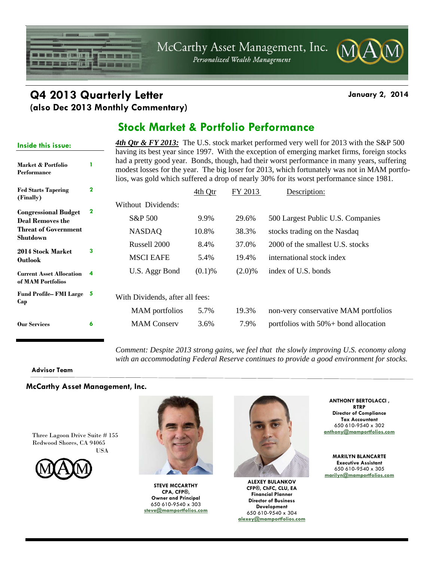

# **Q4 2013 Quarterly Letter Comment Comment Comment Comment Comment Comment Comment Comment Comment Comment Comment Comment Comment Comment Comment Comment Comment Comment Comment Comment Comment Comment Comment Comment Comm**

| (also Dec 2013 Monthly Commentary) |  |
|------------------------------------|--|
|                                    |  |

### **Stock Market & Portfolio Performance**

| Inside this issue:                                     |              |                                                                                                                                                                                                                                                                                                                                                                                         |           |           | 4th Otr & FY 2013: The U.S. stock market performed very well for 2013 with the S&P 500 |  |
|--------------------------------------------------------|--------------|-----------------------------------------------------------------------------------------------------------------------------------------------------------------------------------------------------------------------------------------------------------------------------------------------------------------------------------------------------------------------------------------|-----------|-----------|----------------------------------------------------------------------------------------|--|
| Market & Portfolio<br>Performance                      |              | having its best year since 1997. With the exception of emerging market firms, foreign stocks<br>had a pretty good year. Bonds, though, had their worst performance in many years, suffering<br>modest losses for the year. The big loser for 2013, which fortunately was not in MAM portfo-<br>lios, was gold which suffered a drop of nearly 30% for its worst performance since 1981. |           |           |                                                                                        |  |
| <b>Fed Starts Tapering</b><br>(Finally)                | $\mathbf{2}$ |                                                                                                                                                                                                                                                                                                                                                                                         | 4th Otr   | FY 2013   | Description:                                                                           |  |
|                                                        |              | Without Dividends:                                                                                                                                                                                                                                                                                                                                                                      |           |           |                                                                                        |  |
| <b>Congressional Budget</b><br><b>Deal Removes the</b> | $\mathbf 2$  | S&P 500                                                                                                                                                                                                                                                                                                                                                                                 | 9.9%      | 29.6%     | 500 Largest Public U.S. Companies                                                      |  |
| <b>Threat of Government</b>                            |              | <b>NASDAQ</b>                                                                                                                                                                                                                                                                                                                                                                           | 10.8%     | 38.3%     | stocks trading on the Nasdaq                                                           |  |
| Shutdown                                               |              | Russell 2000                                                                                                                                                                                                                                                                                                                                                                            | 8.4%      | 37.0%     | 2000 of the smallest U.S. stocks                                                       |  |
| 2014 Stock Market<br><b>Outlook</b>                    | 3            | <b>MSCI EAFE</b>                                                                                                                                                                                                                                                                                                                                                                        | 5.4%      | 19.4%     | international stock index                                                              |  |
| <b>Current Asset Allocation</b><br>of MAM Portfolios   | 4            | U.S. Aggr Bond                                                                                                                                                                                                                                                                                                                                                                          | $(0.1)$ % | $(2.0)\%$ | index of U.S. bonds                                                                    |  |
| Fund Profile-FMI Large 5<br>Cap                        |              | With Dividends, after all fees:                                                                                                                                                                                                                                                                                                                                                         |           |           |                                                                                        |  |
|                                                        |              | MAM portfolios                                                                                                                                                                                                                                                                                                                                                                          | 5.7%      | 19.3%     | non-very conservative MAM portfolios                                                   |  |
| <b>Our Services</b>                                    | 6            | <b>MAM</b> Conserv                                                                                                                                                                                                                                                                                                                                                                      | 3.6%      | 7.9%      | portfolios with $50\% +$ bond allocation                                               |  |

*Comment: Despite 2013 strong gains, we feel that the slowly improving U.S. economy along with an accommodating Federal Reserve continues to provide a good environment for stocks.* 

#### **Advisor Team**

#### **McCarthy Asset Management, Inc.**

Three Lagoon Drive Suite # 155 Redwood Shores, CA 94065 USA





**STEVE MCCARTHY CPA, CFP®, Owner and Principal**  650 610-9540 x 303 **steve@mamportfolios.com**



**ALEXEY BULANKOV CFP®, ChFC, CLU, EA Financial Planner Director of Business Development**  650 610-9540 x 304 **alexey@mamportfolios.com**

**ANTHONY BERTOLACCI , RTRP Director of Compliance Tax Accountant**  650 610-9540 x 302 **anthony@mamportfolios.com**

**MARILYN BLANCARTE Executive Assistant**  650 610-9540 x 305 **marilyn@mamportfolios.com**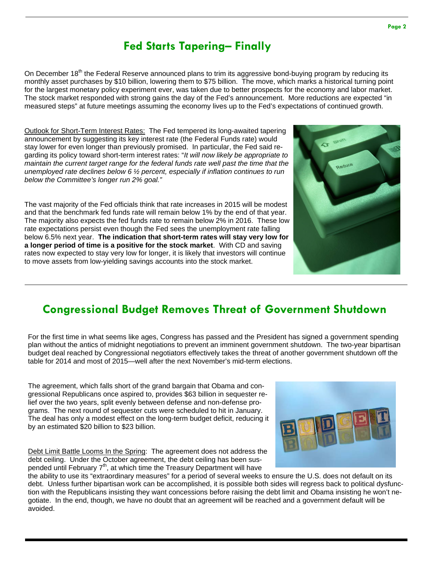### **Fed Starts Tapering– Finally**

On December 18<sup>th</sup> the Federal Reserve announced plans to trim its aggressive bond-buying program by reducing its monthly asset purchases by \$10 billion, lowering them to \$75 billion. The move, which marks a historical turning point for the largest monetary policy experiment ever, was taken due to better prospects for the economy and labor market. The stock market responded with strong gains the day of the Fed's announcement. More reductions are expected "in measured steps" at future meetings assuming the economy lives up to the Fed's expectations of continued growth.

Outlook for Short-Term Interest Rates: The Fed tempered its long-awaited tapering announcement by suggesting its key interest rate (the Federal Funds rate) would stay lower for even longer than previously promised. In particular, the Fed said regarding its policy toward short-term interest rates: "*It will now likely be appropriate to maintain the current target range for the federal funds rate well past the time that the unemployed rate declines below 6 ½ percent, especially if inflation continues to run below the Committee's longer run 2% goal."* 

The vast majority of the Fed officials think that rate increases in 2015 will be modest and that the benchmark fed funds rate will remain below 1% by the end of that year. The majority also expects the fed funds rate to remain below 2% in 2016. These low rate expectations persist even though the Fed sees the unemployment rate falling below 6.5% next year. **The indication that short-term rates will stay very low for a longer period of time is a positive for the stock market**. With CD and saving rates now expected to stay very low for longer, it is likely that investors will continue to move assets from low-yielding savings accounts into the stock market.

### **Congressional Budget Removes Threat of Government Shutdown**

For the first time in what seems like ages, Congress has passed and the President has signed a government spending plan without the antics of midnight negotiations to prevent an imminent government shutdown. The two-year bipartisan budget deal reached by Congressional negotiators effectively takes the threat of another government shutdown off the table for 2014 and most of 2015—well after the next November's mid-term elections.

The agreement, which falls short of the grand bargain that Obama and congressional Republicans once aspired to, provides \$63 billion in sequester relief over the two years, split evenly between defense and non-defense programs. The next round of sequester cuts were scheduled to hit in January. The deal has only a modest effect on the long-term budget deficit, reducing it by an estimated \$20 billion to \$23 billion.

Debt Limit Battle Looms In the Spring: The agreement does not address the debt ceiling. Under the October agreement, the debt ceiling has been suspended until February 7<sup>th</sup>, at which time the Treasury Department will have

the ability to use its "extraordinary measures" for a period of several weeks to ensure the U.S. does not default on its debt. Unless further bipartisan work can be accomplished, it is possible both sides will regress back to political dysfunction with the Republicans insisting they want concessions before raising the debt limit and Obama insisting he won't negotiate. In the end, though, we have no doubt that an agreement will be reached and a government default will be avoided.



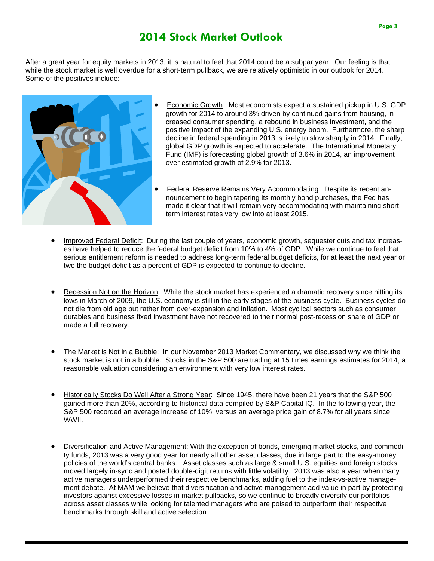### **2014 Stock Market Outlook**

After a great year for equity markets in 2013, it is natural to feel that 2014 could be a subpar year. Our feeling is that while the stock market is well overdue for a short-term pullback, we are relatively optimistic in our outlook for 2014. Some of the positives include:



- Economic Growth: Most economists expect a sustained pickup in U.S. GDP growth for 2014 to around 3% driven by continued gains from housing, increased consumer spending, a rebound in business investment, and the positive impact of the expanding U.S. energy boom. Furthermore, the sharp decline in federal spending in 2013 is likely to slow sharply in 2014. Finally, global GDP growth is expected to accelerate. The International Monetary Fund (IMF) is forecasting global growth of 3.6% in 2014, an improvement over estimated growth of 2.9% for 2013.
- Federal Reserve Remains Very Accommodating: Despite its recent announcement to begin tapering its monthly bond purchases, the Fed has made it clear that it will remain very accommodating with maintaining shortterm interest rates very low into at least 2015.
- Improved Federal Deficit: During the last couple of years, economic growth, sequester cuts and tax increases have helped to reduce the federal budget deficit from 10% to 4% of GDP. While we continue to feel that serious entitlement reform is needed to address long-term federal budget deficits, for at least the next year or two the budget deficit as a percent of GDP is expected to continue to decline.
- Recession Not on the Horizon: While the stock market has experienced a dramatic recovery since hitting its lows in March of 2009, the U.S. economy is still in the early stages of the business cycle. Business cycles do not die from old age but rather from over-expansion and inflation. Most cyclical sectors such as consumer durables and business fixed investment have not recovered to their normal post-recession share of GDP or made a full recovery.
- The Market is Not in a Bubble: In our November 2013 Market Commentary, we discussed why we think the stock market is not in a bubble. Stocks in the S&P 500 are trading at 15 times earnings estimates for 2014, a reasonable valuation considering an environment with very low interest rates.
- Historically Stocks Do Well After a Strong Year: Since 1945, there have been 21 years that the S&P 500 gained more than 20%, according to historical data compiled by S&P Capital IQ. In the following year, the S&P 500 recorded an average increase of 10%, versus an average price gain of 8.7% for all years since WWII.
- Diversification and Active Management: With the exception of bonds, emerging market stocks, and commodity funds, 2013 was a very good year for nearly all other asset classes, due in large part to the easy-money policies of the world's central banks. Asset classes such as large & small U.S. equities and foreign stocks moved largely in-sync and posted double-digit returns with little volatility. 2013 was also a year when many active managers underperformed their respective benchmarks, adding fuel to the index-vs-active management debate. At MAM we believe that diversification and active management add value in part by protecting investors against excessive losses in market pullbacks, so we continue to broadly diversify our portfolios across asset classes while looking for talented managers who are poised to outperform their respective benchmarks through skill and active selection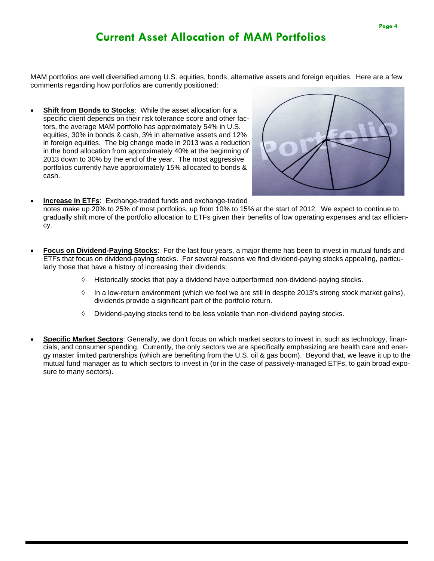### **Current Asset Allocation of MAM Portfolios**

MAM portfolios are well diversified among U.S. equities, bonds, alternative assets and foreign equities. Here are a few comments regarding how portfolios are currently positioned:

 **Shift from Bonds to Stocks**: While the asset allocation for a specific client depends on their risk tolerance score and other factors, the average MAM portfolio has approximately 54% in U.S. equities, 30% in bonds & cash, 3% in alternative assets and 12% in foreign equities. The big change made in 2013 was a reduction in the bond allocation from approximately 40% at the beginning of 2013 down to 30% by the end of the year. The most aggressive portfolios currently have approximately 15% allocated to bonds & cash.



- **Increase in ETFs**: Exchange-traded funds and exchange-traded notes make up 20% to 25% of most portfolios, up from 10% to 15% at the start of 2012. We expect to continue to gradually shift more of the portfolio allocation to ETFs given their benefits of low operating expenses and tax efficiency.
- **Focus on Dividend-Paying Stocks**: For the last four years, a major theme has been to invest in mutual funds and ETFs that focus on dividend-paying stocks. For several reasons we find dividend-paying stocks appealing, particularly those that have a history of increasing their dividends:
	- $\Diamond$  Historically stocks that pay a dividend have outperformed non-dividend-paying stocks.
	- $\Diamond$  In a low-return environment (which we feel we are still in despite 2013's strong stock market gains), dividends provide a significant part of the portfolio return.
	- $\Diamond$  Dividend-paying stocks tend to be less volatile than non-dividend paying stocks.
- **Specific Market Sectors**: Generally, we don't focus on which market sectors to invest in, such as technology, financials, and consumer spending. Currently, the only sectors we are specifically emphasizing are health care and energy master limited partnerships (which are benefiting from the U.S. oil & gas boom). Beyond that, we leave it up to the mutual fund manager as to which sectors to invest in (or in the case of passively-managed ETFs, to gain broad exposure to many sectors).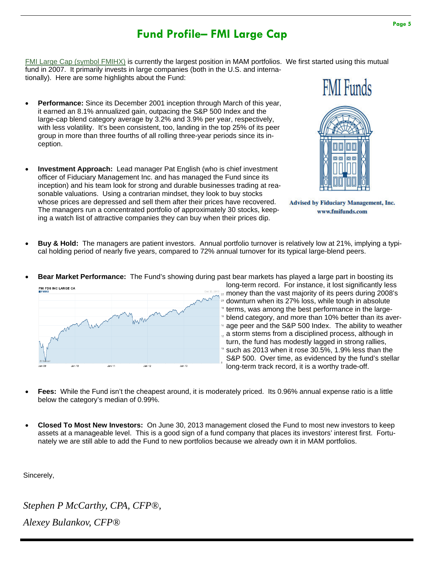## **Fund Profile– FMI Large Cap**

FMI Large Cap (symbol FMIHX) is currently the largest position in MAM portfolios. We first started using this mutual fund in 2007. It primarily invests in large companies (both in the U.S. and internationally). Here are some highlights about the Fund:

- **Performance:** Since its December 2001 inception through March of this year, it earned an 8.1% annualized gain, outpacing the S&P 500 Index and the large-cap blend category average by 3.2% and 3.9% per year, respectively, with less volatility. It's been consistent, too, landing in the top 25% of its peer group in more than three fourths of all rolling three-year periods since its inception.
- **Investment Approach:** Lead manager Pat English (who is chief investment officer of Fiduciary Management Inc. and has managed the Fund since its inception) and his team look for strong and durable businesses trading at reasonable valuations. Using a contrarian mindset, they look to buy stocks whose prices are depressed and sell them after their prices have recovered. The managers run a concentrated portfolio of approximately 30 stocks, keeping a watch list of attractive companies they can buy when their prices dip.



**Advised by Fiduciary Management, Inc.** www.fmifunds.com

- **Buy & Hold:** The managers are patient investors. Annual portfolio turnover is relatively low at 21%, implying a typical holding period of nearly five years, compared to 72% annual turnover for its typical large-blend peers.
- **Bear Market Performance:** The Fund's showing during past bear markets has played a large part in boosting its



long-term record. For instance, it lost significantly less money than the vast majority of its peers during 2008's downturn when its 27% loss, while tough in absolute terms, was among the best performance in the largeblend category, and more than 10% better than its aver- $4$  age peer and the S&P 500 Index. The ability to weather  $\alpha$  a storm stems from a disciplined process, although in turn, the fund has modestly lagged in strong rallies, such as 2013 when it rose 30.5%, 1.9% less than the S&P 500. Over time, as evidenced by the fund's stellar long-term track record, it is a worthy trade-off.

- **Fees:** While the Fund isn't the cheapest around, it is moderately priced. Its 0.96% annual expense ratio is a little below the category's median of 0.99%.
- **Closed To Most New Investors:** On June 30, 2013 management closed the Fund to most new investors to keep assets at a manageable level. This is a good sign of a fund company that places its investors' interest first. Fortunately we are still able to add the Fund to new portfolios because we already own it in MAM portfolios.

Sincerely,

*Stephen P McCarthy, CPA, CFP®, Alexey Bulankov, CFP®*